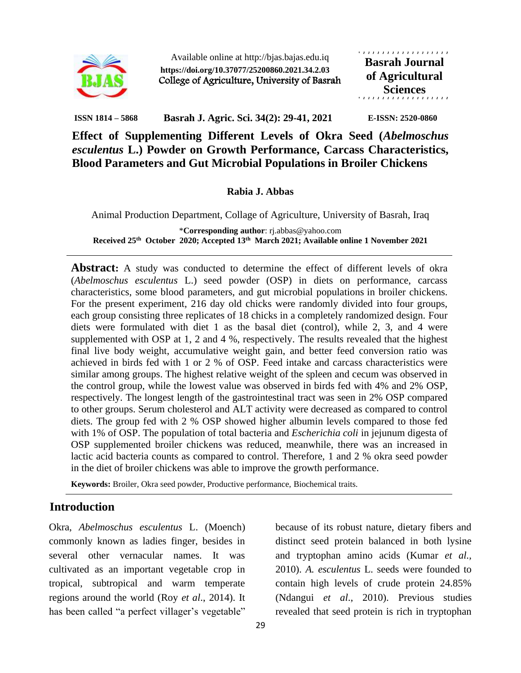

Available online at http://bjas.bajas.edu.iq **https://doi.org/10.37077/25200860.2021.34.2.03** College of Agriculture, University of Basrah , , , , , , , , , , , , , , , , , , , **Basrah Journal of Agricultural Sciences**

**ISSN 1814 – 5868 Basrah J. Agric. Sci. 34(2): 29-41, 2021 E-ISSN: 2520-0860**

**Effect of Supplementing Different Levels of Okra Seed (***Abelmoschus esculentus* **L.) Powder on Growth Performance, Carcass Characteristics, Blood Parameters and Gut Microbial Populations in Broiler Chickens**

**Rabia J. Abbas**

Animal Production Department, Collage of Agriculture, University of Basrah, Iraq

\***Corresponding author**: rj.abbas@yahoo.com **Received 25th October 2020; Accepted 13th March 2021; Available online 1 November 2021**

**Abstract:** A study was conducted to determine the effect of different levels of okra (*Abelmoschus esculentus* L.) seed powder (OSP) in diets on performance, carcass characteristics, some blood parameters, and gut microbial populations in broiler chickens. For the present experiment, 216 day old chicks were randomly divided into four groups, each group consisting three replicates of 18 chicks in a completely randomized design. Four diets were formulated with diet 1 as the basal diet (control), while 2, 3, and 4 were supplemented with OSP at 1, 2 and 4 %, respectively. The results revealed that the highest final live body weight, accumulative weight gain, and better feed conversion ratio was achieved in birds fed with 1 or 2 % of OSP. Feed intake and carcass characteristics were similar among groups. The highest relative weight of the spleen and cecum was observed in the control group, while the lowest value was observed in birds fed with 4% and 2% OSP, respectively. The longest length of the gastrointestinal tract was seen in 2% OSP compared to other groups. Serum cholesterol and ALT activity were decreased as compared to control diets. The group fed with 2 % OSP showed higher albumin levels compared to those fed with 1% of OSP. The population of total bacteria and *Escherichia coli* in jejunum digesta of OSP supplemented broiler chickens was reduced, meanwhile, there was an increased in lactic acid bacteria counts as compared to control. Therefore, 1 and 2 % okra seed powder in the diet of broiler chickens was able to improve the growth performance.

**Keywords:** Broiler, Okra seed powder, Productive performance, Biochemical traits.

## **Introduction**

Okra, *Abelmoschus esculentus* L. (Moench) commonly known as ladies finger, besides in several other vernacular names. It was cultivated as an important vegetable crop in tropical, subtropical and warm temperate regions around the world (Roy *et al*., 2014). It has been called "a perfect villager's vegetable"

because of its robust nature, dietary fibers and distinct seed protein balanced in both lysine and tryptophan amino acids (Kumar *et al.,*  2010). *A. esculentus* L. seeds were founded to contain high levels of crude protein 24.85% (Ndangui *et al*., 2010). Previous studies revealed that seed protein is rich in tryptophan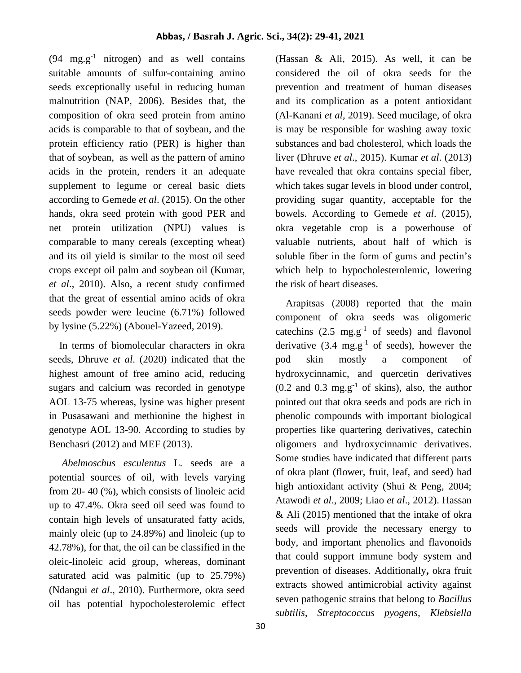$(94 \text{ mg.g}^{-1} \text{ nitrogen})$  and as well contains suitable amounts of sulfur-containing amino seeds exceptionally useful in reducing human malnutrition (NAP, 2006). Besides that, the composition of okra seed protein from amino acids is comparable to that of soybean, and the protein efficiency ratio (PER) is higher than that of soybean, as well as the pattern of amino acids in the protein, renders it an adequate supplement to legume or cereal basic diets according to Gemede *et al*. (2015). On the other hands, okra seed protein with good PER and net protein utilization (NPU) values is comparable to many cereals (excepting wheat) and its oil yield is similar to the most oil seed crops except oil palm and soybean oil (Kumar, *et al*., 2010). Also, a recent study confirmed that the great of essential amino acids of okra seeds powder were leucine (6.71%) followed by lysine (5.22%) (Abouel-Yazeed, 2019).

 In terms of biomolecular characters in okra seeds, Dhruve *et al*. (2020) indicated that the highest amount of free amino acid, reducing sugars and calcium was recorded in genotype AOL 13-75 whereas, lysine was higher present in Pusasawani and methionine the highest in genotype AOL 13-90. According to studies by Benchasri (2012) and MEF (2013).

 *Abelmoschus esculentus* L*.* seeds are a potential sources of oil, with levels varying from 20- 40 (%), which consists of linoleic acid up to 47.4%. Okra seed oil seed was found to contain high levels of unsaturated fatty acids, mainly oleic (up to 24.89%) and linoleic (up to 42.78%), for that, the oil can be classified in the oleic-linoleic acid group, whereas, dominant saturated acid was palmitic (up to 25.79%) (Ndangui *et al*., 2010). Furthermore, okra seed oil has potential hypocholesterolemic effect

(Hassan & Ali, 2015). As well, it can be considered the oil of okra seeds for the prevention and treatment of human diseases and its complication as a potent antioxidant (Al-Kanani *et al*, 2019). Seed mucilage, of okra is may be responsible for washing away toxic substances and bad cholesterol, which loads the liver (Dhruve *et al*., 2015). Kumar *et al*. (2013) have revealed that okra contains special fiber, which takes sugar levels in blood under control, providing sugar quantity, acceptable for the bowels. According to Gemede *et al*. (2015), okra vegetable crop is a powerhouse of valuable nutrients, about half of which is soluble fiber in the form of gums and pectin's which help to hypocholesterolemic, lowering the risk of heart diseases.

 Arapitsas (2008) reported that the main component of okra seeds was oligomeric catechins  $(2.5 \text{ mg} \cdot \text{g}^{-1})$  of seeds) and flavonol derivative  $(3.4 \text{ mg} \cdot \text{g}^{-1})$  of seeds), however the pod skin mostly a component of hydroxycinnamic, and quercetin derivatives  $(0.2$  and  $0.3$  mg.g<sup>-1</sup> of skins), also, the author pointed out that okra seeds and pods are rich in phenolic compounds with important biological properties like quartering derivatives, catechin oligomers and hydroxycinnamic derivatives. Some studies have indicated that different parts of okra plant (flower, fruit, leaf, and seed) had high antioxidant activity (Shui & Peng, 2004; Atawodi *et al*., 2009; Liao *et al*., 2012). Hassan & Ali (2015) mentioned that the intake of okra seeds will provide the necessary energy to body, and important phenolics and flavonoids that could support immune body system and prevention of diseases. Additionally**,** okra fruit extracts showed antimicrobial activity against seven pathogenic strains that belong to *Bacillus subtilis*, *Streptococcus pyogens, Klebsiella*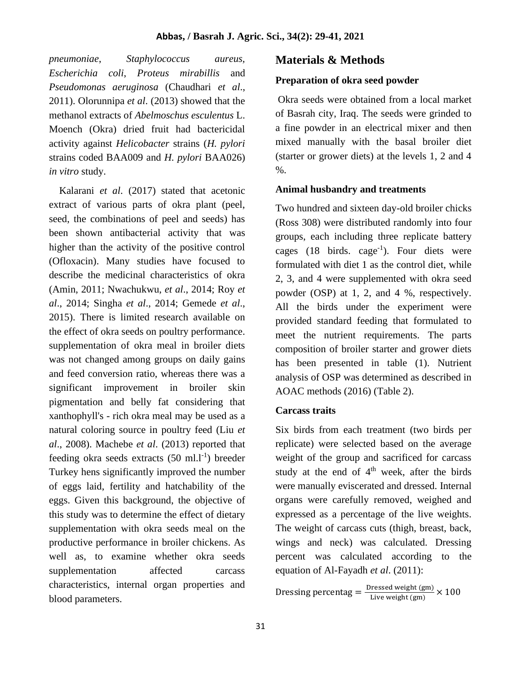*pneumoniae*, *Staphylococcus aureus, Escherichia coli*, *Proteus mirabillis* and *Pseudomonas aeruginosa* (Chaudhari *et al*., 2011). Olorunnipa *et al*. (2013) showed that the methanol extracts of *Abelmoschus esculentus* L. Moench (Okra) dried fruit had bactericidal activity against *Helicobacter* strains (*H. pylori* strains coded BAA009 and *H. pylori* BAA026) *in vitro* study.

 Kalarani *et al*. (2017) stated that acetonic extract of various parts of okra plant (peel, seed, the combinations of peel and seeds) has been shown antibacterial activity that was higher than the activity of the positive control (Ofloxacin). Many studies have focused to describe the medicinal characteristics of okra (Amin, 2011; Nwachukwu, *et al*., 2014; Roy *et al*., 2014; Singha *et al*., 2014; Gemede *et al*., 2015). There is limited research available on the effect of okra seeds on poultry performance. supplementation of okra meal in broiler diets was not changed among groups on daily gains and feed conversion ratio, whereas there was a significant improvement in broiler skin pigmentation and belly fat considering that xanthophyll's - rich okra meal may be used as a natural coloring source in poultry feed (Liu *et al*., 2008). Machebe *et al*. (2013) reported that feeding okra seeds extracts  $(50 \text{ ml.} l^{-1})$  breeder Turkey hens significantly improved the number of eggs laid, fertility and hatchability of the eggs. Given this background, the objective of this study was to determine the effect of dietary supplementation with okra seeds meal on the productive performance in broiler chickens. As well as, to examine whether okra seeds supplementation affected carcass characteristics, internal organ properties and blood parameters.

## **Materials & Methods**

### **Preparation of okra seed powder**

Okra seeds were obtained from a local market of Basrah city, Iraq. The seeds were grinded to a fine powder in an electrical mixer and then mixed manually with the basal broiler diet (starter or grower diets) at the levels 1, 2 and 4 %.

### **Animal husbandry and treatments**

Two hundred and sixteen day-old broiler chicks (Ross 308) were distributed randomly into four groups, each including three replicate battery cages  $(18 \text{ birds. } \text{cage}^{-1})$ . Four diets were formulated with diet 1 as the control diet, while 2, 3, and 4 were supplemented with okra seed powder (OSP) at 1, 2, and 4 %, respectively. All the birds under the experiment were provided standard feeding that formulated to meet the nutrient requirements. The parts composition of broiler starter and grower diets has been presented in table (1). Nutrient analysis of OSP was determined as described in AOAC methods (2016) (Table 2).

### **Carcass traits**

Six birds from each treatment (two birds per replicate) were selected based on the average weight of the group and sacrificed for carcass study at the end of  $4<sup>th</sup>$  week, after the birds were manually eviscerated and dressed. Internal organs were carefully removed, weighed and expressed as a percentage of the live weights. The weight of carcass cuts (thigh, breast, back, wings and neck) was calculated. Dressing percent was calculated according to the equation of Al-Fayadh *et al*. (2011):

Dressing percentag  $=$   $\frac{\text{Dressed weight (gm)}}{\text{Liive weight (gm)}}$ Live weight  $\frac{\text{(gm)}}{\text{(gm)}} \times 100$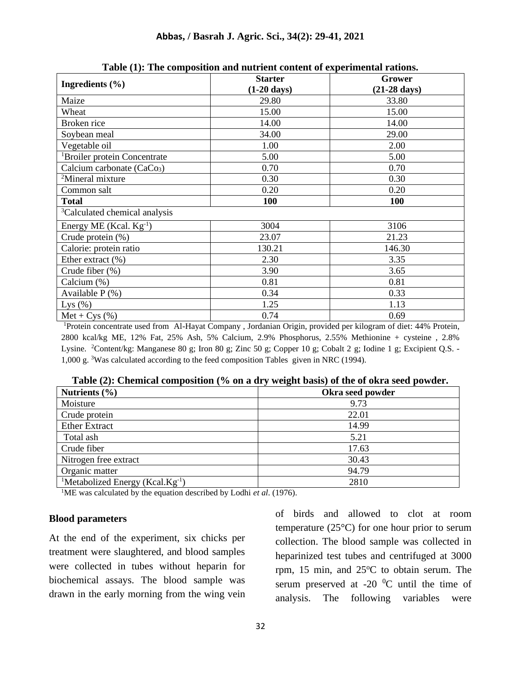|                                           | $\mathbf{r}$ and $\mathbf{r}$ and component and matrixed content of experimental re-<br><b>Starter</b> | Grower                 |
|-------------------------------------------|--------------------------------------------------------------------------------------------------------|------------------------|
| Ingredients $(\% )$                       | $(1-20 \text{ days})$                                                                                  | $(21-28 \text{ days})$ |
| Maize                                     | 29.80                                                                                                  | 33.80                  |
| Wheat                                     | 15.00                                                                                                  | 15.00                  |
| Broken rice                               | 14.00                                                                                                  | 14.00                  |
| Soybean meal                              | 34.00                                                                                                  | 29.00                  |
| Vegetable oil                             | 1.00                                                                                                   | 2.00                   |
| <sup>1</sup> Broiler protein Concentrate  | 5.00                                                                                                   | 5.00                   |
| Calcium carbonate (CaCo <sub>3</sub> )    | 0.70                                                                                                   | 0.70                   |
| <sup>2</sup> Mineral mixture              | 0.30                                                                                                   | 0.30                   |
| Common salt                               | 0.20                                                                                                   | 0.20                   |
| <b>Total</b>                              | <b>100</b>                                                                                             | 100                    |
| <sup>3</sup> Calculated chemical analysis |                                                                                                        |                        |
| Energy ME (Kcal. $Kg^{-1}$ )              | 3004                                                                                                   | 3106                   |
| Crude protein $(\%)$                      | 23.07                                                                                                  | 21.23                  |
| Calorie: protein ratio                    | 130.21                                                                                                 | 146.30                 |
| Ether extract $(\% )$                     | 2.30                                                                                                   | 3.35                   |
| Crude fiber (%)                           | 3.90                                                                                                   | 3.65                   |
| Calcium (%)                               | 0.81                                                                                                   | 0.81                   |
| Available $P$ (%)                         | 0.34                                                                                                   | 0.33                   |
| Lys $(\%)$                                | 1.25                                                                                                   | 1.13                   |
| $Met + Cys$ (%)                           | 0.74                                                                                                   | 0.69                   |

**Table (1): The composition and nutrient content of experimental rations.**

<sup>1</sup>Protein concentrate used from Al-Hayat Company , Jordanian Origin, provided per kilogram of diet: 44% Protein, 2800 kcal/kg ME, 12% Fat, 25% Ash, 5% Calcium, 2.9% Phosphorus, 2.55% Methionine + cysteine , 2.8% Lysine. <sup>2</sup>Content/kg: Manganese 80 g; Iron 80 g; Zinc 50 g; Copper 10 g; Cobalt 2 g; Iodine 1 g; Excipient Q.S. -1,000 g. <sup>3</sup>Was calculated according to the feed composition Tables given in NRC (1994).

| Nutrients $(\% )$                                        | Okra seed powder |
|----------------------------------------------------------|------------------|
| Moisture                                                 | 9.73             |
| Crude protein                                            | 22.01            |
| <b>Ether Extract</b>                                     | 14.99            |
| Total ash                                                | 5.21             |
| Crude fiber                                              | 17.63            |
| Nitrogen free extract                                    | 30.43            |
| Organic matter                                           | 94.79            |
| <sup>1</sup> Metabolized Energy (Kcal.Kg <sup>-1</sup> ) | 2810             |

**Table (2): Chemical composition (% on a dry weight basis) of the of okra seed powder.**

<sup>1</sup>ME was calculated by the equation described by Lodhi *et al*. (1976).

#### **Blood parameters**

At the end of the experiment, six chicks per treatment were slaughtered, and blood samples were collected in tubes without heparin for biochemical assays. The blood sample was drawn in the early morning from the wing vein of birds and allowed to clot at room temperature  $(25^{\circ}C)$  for one hour prior to serum collection. The blood sample was collected in heparinized test tubes and centrifuged at 3000 rpm,  $15$  min, and  $25^{\circ}$ C to obtain serum. The serum preserved at -20  $^{0}$ C until the time of analysis. The following variables were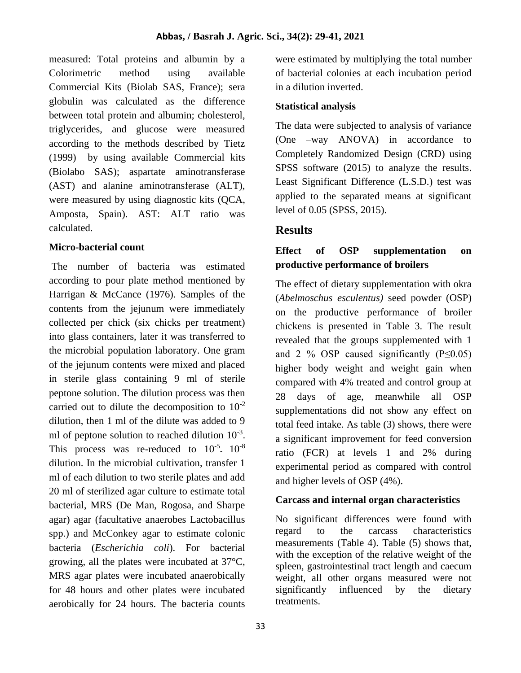measured: Total proteins and albumin by a Colorimetric method using available Commercial Kits (Biolab SAS, France); sera globulin was calculated as the difference between total protein and albumin; cholesterol, triglycerides, and glucose were measured according to the methods described by Tietz (1999) by using available Commercial kits (Biolabo SAS); aspartate aminotransferase (AST) and alanine aminotransferase (ALT), were measured by using diagnostic kits (QCA, Amposta, Spain). AST: ALT ratio was calculated.

### **Micro-bacterial count**

The number of bacteria was estimated according to pour plate method mentioned by Harrigan & McCance (1976). Samples of the contents from the jejunum were immediately collected per chick (six chicks per treatment) into glass containers, later it was transferred to the microbial population laboratory. One gram of the jejunum contents were mixed and placed in sterile glass containing 9 ml of sterile peptone solution. The dilution process was then carried out to dilute the decomposition to  $10^{-2}$ dilution, then 1 ml of the dilute was added to 9 ml of peptone solution to reached dilution  $10^{-3}$ . This process was re-reduced to  $10^{-5}$ .  $10^{-8}$ dilution. In the microbial cultivation, transfer 1 ml of each dilution to two sterile plates and add 20 ml of sterilized agar culture to estimate total bacterial, MRS (De Man, Rogosa, and Sharpe agar) agar (facultative anaerobes Lactobacillus spp.) and McConkey agar to estimate colonic bacteria (*Escherichia coli*). For bacterial growing, all the plates were incubated at 37°C, MRS agar plates were incubated anaerobically for 48 hours and other plates were incubated aerobically for 24 hours. The bacteria counts

were estimated by multiplying the total number of bacterial colonies at each incubation period in a dilution inverted.

#### **Statistical analysis**

The data were subjected to analysis of variance (One –way ANOVA) in accordance to Completely Randomized Design (CRD) using SPSS software (2015) to analyze the results. Least Significant Difference (L.S.D.) test was applied to the separated means at significant level of 0.05 (SPSS, 2015).

## **Results**

## **Effect of OSP supplementation on productive performance of broilers**

The effect of dietary supplementation with okra (*Abelmoschus esculentus)* seed powder (OSP) on the productive performance of broiler chickens is presented in Table 3. The result revealed that the groups supplemented with 1 and 2 % OSP caused significantly  $(P \le 0.05)$ higher body weight and weight gain when compared with 4% treated and control group at 28 days of age, meanwhile all OSP supplementations did not show any effect on total feed intake. As table (3) shows, there were a significant improvement for feed conversion ratio (FCR) at levels 1 and 2% during experimental period as compared with control and higher levels of OSP (4%).

### **Carcass and internal organ characteristics**

No significant differences were found with regard to the carcass characteristics measurements (Table 4). Table (5) shows that, with the exception of the relative weight of the spleen, gastrointestinal tract length and caecum weight, all other organs measured were not significantly influenced by the dietary treatments.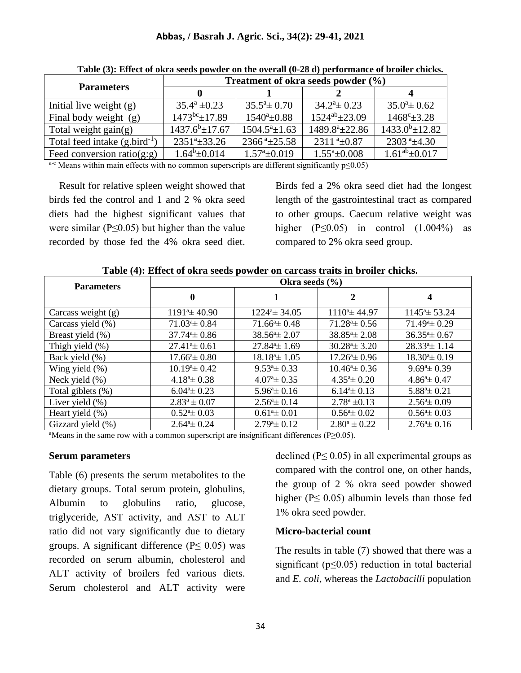|                                    | Treatment of okra seeds powder $(\% )$ |                             |                              |                                |  |  |
|------------------------------------|----------------------------------------|-----------------------------|------------------------------|--------------------------------|--|--|
| <b>Parameters</b>                  |                                        |                             |                              |                                |  |  |
| Initial live weight (g)            | $35.4^{\rm a} \pm 0.23$                | $35.5^{\circ} \pm 0.70$     | $34.2^{\mathrm{a}} \pm 0.23$ | $35.0^{\circ} \pm 0.62$        |  |  |
| Final body weight (g)              | $1473^{bc}$ + 17.89                    | $1540^a \pm 0.88$           | $1524^{ab} \pm 23.09$        | $1468^{\circ}$ $\pm 3.28$      |  |  |
| Total weight $gain(g)$             | $1437.6^b \pm 17.67$                   | $1504.5^a \pm 1.63$         | 1489.8 <sup>a</sup> ±22.86   | $1433.0^b \pm 12.82$           |  |  |
| Total feed intake $(g,bird^{-1})$  | $2351^a \pm 33.26$                     | $2366^{\text{a}}\pm 25.58$  | $2311^{a} \pm 0.87$          | $2303$ <sup>a</sup> $\pm$ 4.30 |  |  |
| Feed conversion ratio( $g$ : $g$ ) | $1.64^b \pm 0.014$                     | $1.57^{\mathrm{a}}\pm0.019$ | $1.55^a \pm 0.008$           | $1.61^{ab} \pm 0.017$          |  |  |

**Table (3): Effect of okra seeds powder on the overall (0-28 d) performance of broiler chicks.**

 $a-c$  Means within main effects with no common superscripts are different significantly  $p \le 0.05$ )

 Result for relative spleen weight showed that birds fed the control and 1 and 2 % okra seed diets had the highest significant values that were similar ( $P \le 0.05$ ) but higher than the value recorded by those fed the 4% okra seed diet.

Birds fed a 2% okra seed diet had the longest length of the gastrointestinal tract as compared to other groups. Caecum relative weight was higher  $(P \le 0.05)$  in control  $(1.004\%)$  as compared to 2% okra seed group.

| <b>Parameters</b>    | Okra seeds $(\% )$      |                            |                               |                                 |  |
|----------------------|-------------------------|----------------------------|-------------------------------|---------------------------------|--|
|                      | $\bf{0}$                |                            | 2                             | 4                               |  |
| Carcass weight $(g)$ | $1191^{\circ}$ ± 40.90  | $1224^a \pm 34.05$         | $1110^a \pm 44.97$            | $1145^{\mathrm{a}}$ $\pm$ 53.24 |  |
| Carcass yield (%)    | $71.03^{\circ}$ ± 0.84  | $71.66^{\circ} \pm 0.48$   | $71.28^{\mathrm{a}} \pm 0.56$ | $71.49^{\circ} \pm 0.29$        |  |
| Breast yield (%)     | $37.74^{\circ}$ ± 0.86  | $38.56^{\circ}$ ± 2.07     | $38.85^{\circ}$ ± 2.08        | $36.35^{\mathrm{a}} \pm 0.67$   |  |
| Thigh yield $(\%)$   | $27.414 \pm 0.61$       | $27.844 \pm 1.69$          | $30.284 \pm 3.20$             | $28.334 \pm 1.14$               |  |
| Back yield (%)       | $17.664 \pm 0.80$       | $18.184 \pm 1.05$          | $17.26^{\circ} \pm 0.96$      | $18.304 \pm 0.19$               |  |
| Wing yield $(\%)$    | $10.194 \pm 0.42$       | $9.534 \pm 0.33$           | $10.46^{\circ} \pm 0.36$      | $9.694 \pm 0.39$                |  |
| Neck yield $(\% )$   | $4.18^{\circ} \pm 0.38$ | $4.074 \pm 0.35$           | $4.35^{\mathrm{a}}\pm0.20$    | $4.86^{\circ} \pm 0.47$         |  |
| Total giblets $(\%)$ | $6.044 \pm 0.23$        | $5.96^{\mathrm{a}}\pm0.16$ | $6.144 \pm 0.13$              | $5.884 \pm 0.21$                |  |
| Liver yield $(\% )$  | $2.83^a \pm 0.07$       | $2.56^{\circ} \pm 0.14$    | $2.78^a \pm 0.13$             | $2.56^{\circ} \pm 0.09$         |  |
| Heart yield $(\%)$   | $0.524 \pm 0.03$        | $0.614 \pm 0.01$           | $0.564 \pm 0.02$              | $0.564 \pm 0.03$                |  |
| Gizzard yield (%)    | $2.64^{\circ} \pm 0.24$ | $2.79^{\circ}$ ± 0.12      | $2.80^a \pm 0.22$             | $2.76^{\circ}$ ± 0.16           |  |

**Table (4): Effect of okra seeds powder on carcass traits in broiler chicks.**

<sup>a</sup>Means in the same row with a common superscript are insignificant differences (P≥0.05).

#### **Serum parameters**

Table (6) presents the serum metabolites to the dietary groups. Total serum protein, globulins, Albumin to globulins ratio, glucose, triglyceride, AST activity, and AST to ALT ratio did not vary significantly due to dietary groups. A significant difference ( $P \leq 0.05$ ) was recorded on serum albumin, cholesterol and ALT activity of broilers fed various diets. Serum cholesterol and ALT activity were

declined ( $P \leq 0.05$ ) in all experimental groups as compared with the control one, on other hands, the group of 2 % okra seed powder showed higher ( $P \leq 0.05$ ) albumin levels than those fed 1% okra seed powder.

#### **Micro-bacterial count**

The results in table (7) showed that there was a significant ( $p \le 0.05$ ) reduction in total bacterial and *E. coli*, whereas the *Lactobacilli* population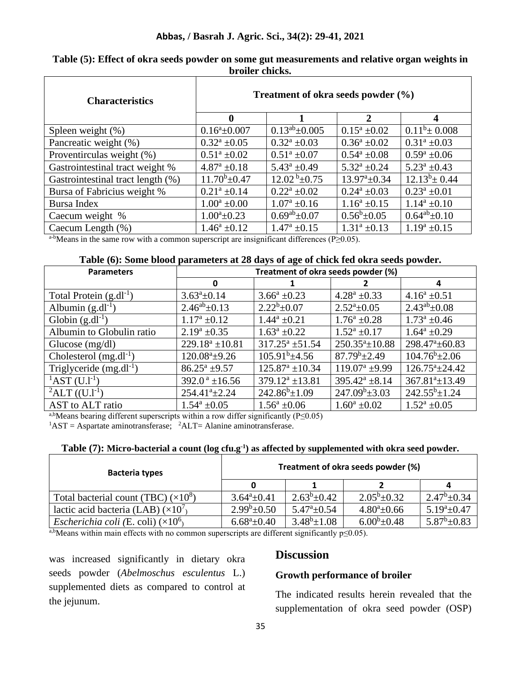| <b>Characteristics</b>            | Treatment of okra seeds powder $(\% )$ |                                        |                              |                      |  |
|-----------------------------------|----------------------------------------|----------------------------------------|------------------------------|----------------------|--|
|                                   | $\boldsymbol{0}$                       |                                        | $\mathbf{2}$                 | $\boldsymbol{4}$     |  |
| Spleen weight $(\%)$              | $0.16^a \pm 0.007$                     | $0.13^{ab}$ ± 0.005                    | $0.15^a \pm 0.02$            | $0.11^b \pm 0.008$   |  |
| Pancreatic weight (%)             | $0.32^{\rm a}$ ±0.05                   | $0.32^a \pm 0.03$                      | $0.36^a \pm 0.02$            | $0.31^a \pm 0.03$    |  |
| Proventirculas weight (%)         | $0.51^{\rm a}$ ±0.02                   | $0.51^a \pm 0.07$                      | $0.54^a \pm 0.08$            | $0.59^a \pm 0.06$    |  |
| Gastrointestinal tract weight %   | $4.87^{\rm a}$ ±0.18                   | $5.43^a \pm 0.49$                      | $5.32^{\rm a}$ ±0.24         | $5.23^a \pm 0.43$    |  |
| Gastrointestinal tract length (%) | $11.70^b \pm 0.47$                     | $\frac{12.02 \text{ b}_{\pm 0.75}}{2}$ | $13.97^{\mathrm{a}}\pm 0.34$ | $12.13^b \pm 0.44$   |  |
| Bursa of Fabricius weight %       | $0.21^a \pm 0.14$                      | $0.22^a \pm 0.02$                      | $0.24^a \pm 0.03$            | $0.23^a \pm 0.01$    |  |
| Bursa Index                       | $1.00^a \pm 0.00$                      | $1.07^{\rm a}$ ±0.16                   | $1.16^a \pm 0.15$            | $1.14^a \pm 0.10$    |  |
| Caecum weight %                   | $1.00^a \pm 0.23$                      | $0.69^{ab}$ ± 0.07                     | $0.56^b \pm 0.05$            | $0.64^{ab} \pm 0.10$ |  |
| Caecum Length $(\%)$              | $1.46^a \pm 0.12$                      | $1.47^{\rm a}$ ±0.15                   | $1.31^a \pm 0.13$            | $1.19^a \pm 0.15$    |  |

**Table (5): Effect of okra seeds powder on some gut measurements and relative organ weights in broiler chicks.**

a-bMeans in the same row with a common superscript are insignificant differences (P≥0.05).

#### **Table (6): Some blood parameters at 28 days of age of chick fed okra seeds powder.**

| <b>Parameters</b>                              | Treatment of okra seeds powder (%) |                      |                        |                            |  |
|------------------------------------------------|------------------------------------|----------------------|------------------------|----------------------------|--|
|                                                | 0                                  |                      |                        | 4                          |  |
| Total Protein $(g.dl^{-1})$                    | $3.63^a \pm 0.14$                  | $3.66^a \pm 0.23$    | $4.28^a \pm 0.33$      | $4.16^a \pm 0.51$          |  |
| Albumin $(g.dl^{-1})$                          | $2.46^{ab} \pm 0.13$               | $2.22^b \pm 0.07$    | $2.52^a \pm 0.05$      | $2.43^{ab} \pm 0.08$       |  |
| Globin $(g.dl^{-1})$                           | $1.17^a \pm 0.12$                  | $1.44^a \pm 0.21$    | $1.76^a \pm 0.28$      | $1.73^a \pm 0.46$          |  |
| Albumin to Globulin ratio                      | $2.19^a \pm 0.35$                  | $1.63^a \pm 0.22$    | $1.52^a \pm 0.17$      | $1.64^a \pm 0.29$          |  |
| Glucose $(mg/dl)$                              | $229.18^a \pm 10.81$               | $317.25^a \pm 51.54$ | $250.35^a \pm 10.88$   | 298.47 <sup>a</sup> ±60.83 |  |
| Cholesterol $(mg.dl^{-1})$                     | $120.08^a \pm 9.26$                | $105.91^b \pm 4.56$  | $87.79^b \pm 2.49$     | $104.76^b \pm 2.06$        |  |
| Triglyceride $(mg.dl^{-1})$                    | $86.25^a \pm 9.57$                 | $125.87^a \pm 10.34$ | $119.07^a \pm 9.99$    | $126.75^a \pm 24.42$       |  |
| ${}^{1}\text{AST } (U.l \textsuperscript{-1})$ | $392.0^{\text{ a}}$ ±16.56         | $379.12^a \pm 13.81$ | $395.42^{\circ}$ ±8.14 | $367.81^{a} \pm 13.49$     |  |
| ${}^{2}$ ALT ((U.l <sup>-1</sup> )             | $254.41^a \pm 2.24$                | $242.86^b \pm 1.09$  | $247.09^b \pm 3.03$    | $242.55^{b} \pm 1.24$      |  |
| AST to ALT ratio                               | $1.54^a \pm 0.05$                  | $1.56^a \pm 0.06$    | $1.60^a \pm 0.02$      | $1.52^a \pm 0.05$          |  |

a,bMeans bearing different superscripts within a row differ significantly (P≤0.05)

 ${}^{1}$ AST = Aspartate aminotransferase;  ${}^{2}$ ALT = Alanine aminotransferase.

| Table $(7)$ : Micro-bacterial a count (log cfu.g <sup>-1</sup> ) as affected by supplemented with okra seed powder. |  |  |  |  |
|---------------------------------------------------------------------------------------------------------------------|--|--|--|--|
|---------------------------------------------------------------------------------------------------------------------|--|--|--|--|

| <b>Bacteria types</b>                             | Treatment of okra seeds powder (%) |                             |                   |                   |  |  |
|---------------------------------------------------|------------------------------------|-----------------------------|-------------------|-------------------|--|--|
|                                                   |                                    |                             |                   | 4                 |  |  |
| Total bacterial count (TBC) $(\times 10^8)$       | $3.64^a \pm 0.41$                  | $2.63^b \pm 0.42$           | $2.05^b \pm 0.32$ | $2.47^b \pm 0.34$ |  |  |
| lactic acid bacteria (LAB) $(\times 10^7)$        | $2.99^b \pm 0.50$                  | $5.47^{\mathrm{a}}\pm 0.54$ | $4.80^a \pm 0.66$ | $5.19^a \pm 0.47$ |  |  |
| <i>Escherichia coli</i> (E. coli) $(\times 10^6)$ | $6.68^a \pm 0.40$                  | $3.48^b \pm 1.08$           | $6.00^b \pm 0.48$ | $5.87^b \pm 0.83$ |  |  |

 $\frac{a, b}{b}$ Means within main effects with no common superscripts are different significantly p≤0.05).

was increased significantly in dietary okra seeds powder (*Abelmoschus esculentus* L.) supplemented diets as compared to control at the jejunum.

### **Discussion**

#### **Growth performance of broiler**

The indicated results herein revealed that the supplementation of okra seed powder (OSP)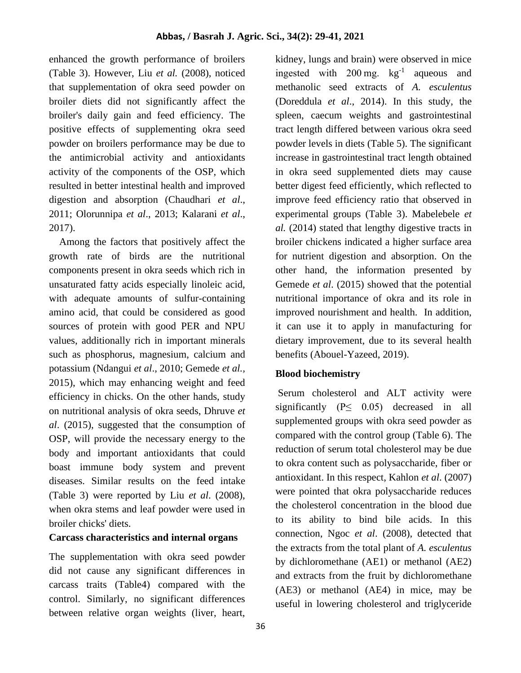enhanced the growth performance of broilers (Table 3). However, Liu *et al.* (2008), noticed that supplementation of okra seed powder on broiler diets did not significantly affect the broiler's daily gain and feed efficiency. The positive effects of supplementing okra seed powder on broilers performance may be due to the antimicrobial activity and antioxidants activity of the components of the OSP, which resulted in better intestinal health and improved digestion and absorption (Chaudhari *et al*., 2011; Olorunnipa *et al*., 2013; Kalarani *et al*., 2017).

 Among the factors that positively affect the growth rate of birds are the nutritional components present in okra seeds which rich in unsaturated fatty acids especially linoleic acid, with adequate amounts of sulfur-containing amino acid, that could be considered as good sources of protein with good PER and NPU values, additionally rich in important minerals such as phosphorus, magnesium, calcium and potassium (Ndangui *et al*., 2010; Gemede *et al.,* 2015), which may enhancing weight and feed efficiency in chicks. On the other hands, study on nutritional analysis of okra seeds, Dhruve *et al*. (2015), suggested that the consumption of OSP, will provide the necessary energy to the body and important antioxidants that could boast immune body system and prevent diseases. Similar results on the feed intake (Table 3) were reported by Liu *et al*. (2008), when okra stems and leaf powder were used in broiler chicks' diets.

### **Carcass characteristics and internal organs**

The supplementation with okra seed powder did not cause any significant differences in carcass traits (Table4) compared with the control. Similarly, no significant differences between relative organ weights (liver, heart,

kidney, lungs and brain) were observed in mice ingested with  $200 \text{ mg}$ .  $\text{kg}^{-1}$  aqueous and methanolic seed extracts of *A. esculentus* (Doreddula *et al*., 2014). In this study, the spleen, caecum weights and gastrointestinal tract length differed between various okra seed powder levels in diets (Table 5). The significant increase in gastrointestinal tract length obtained in okra seed supplemented diets may cause better digest feed efficiently, which reflected to improve feed efficiency ratio that observed in experimental groups (Table 3). Mabelebele *et al.* (2014) stated that lengthy digestive tracts in broiler chickens indicated a higher surface area for nutrient digestion and absorption. On the other hand, the information presented by Gemede *et al*. (2015) showed that the potential nutritional importance of okra and its role in improved nourishment and health. In addition, it can use it to apply in manufacturing for dietary improvement, due to its several health benefits (Abouel-Yazeed, 2019).

## **Blood biochemistry**

Serum cholesterol and ALT activity were significantly  $(P \leq 0.05)$  decreased in all supplemented groups with okra seed powder as compared with the control group (Table 6). The reduction of serum total cholesterol may be due to okra content such as polysaccharide, fiber or antioxidant. In this respect, Kahlon *et al*. (2007) were pointed that okra polysaccharide reduces the cholesterol concentration in the blood due to its ability to bind bile acids. In this connection, Ngoc *et al*. (2008), detected that the extracts from the total plant of *A. esculentus* by dichloromethane (AE1) or methanol (AE2) and extracts from the fruit by dichloromethane (AE3) or methanol (AE4) in mice, may be useful in lowering cholesterol and triglyceride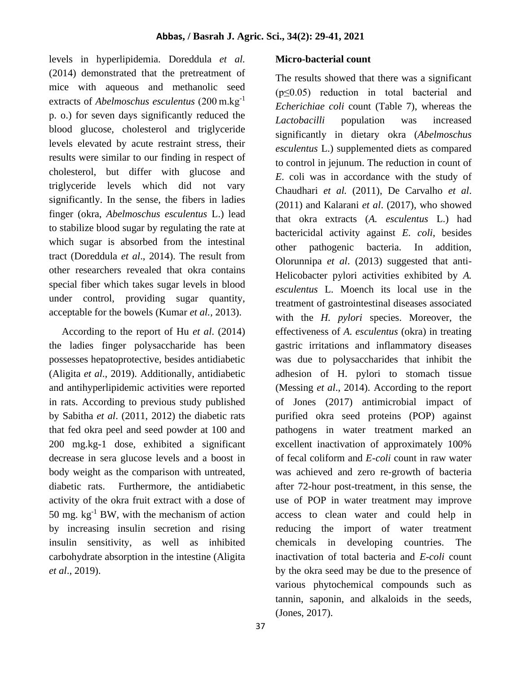levels in hyperlipidemia. Doreddula *et al.* (2014) demonstrated that the pretreatment of mice with aqueous and methanolic seed extracts of *Abelmoschus esculentus* (200 m.kg-1 p. o.) for seven days significantly reduced the blood glucose, cholesterol and triglyceride levels elevated by acute restraint stress, their results were similar to our finding in respect of cholesterol, but differ with glucose and triglyceride levels which did not vary significantly. In the sense, the fibers in ladies finger (okra, *Abelmoschus esculentus* L.) lead to stabilize blood sugar by regulating the rate at which sugar is absorbed from the intestinal tract (Doreddula *et al*., 2014). The result from other researchers revealed that okra contains special fiber which takes sugar levels in blood under control, providing sugar quantity, acceptable for the bowels (Kumar *et al.,* 2013).

 According to the report of Hu *et al*. (2014) the ladies finger polysaccharide has been possesses hepatoprotective, besides antidiabetic (Aligita *et al*., 2019). Additionally, antidiabetic and antihyperlipidemic activities were reported in rats. According to previous study published by Sabitha *et al*. (2011, 2012) the diabetic rats that fed okra peel and seed powder at 100 and 200 mg.kg-1 dose, exhibited a significant decrease in sera glucose levels and a boost in body weight as the comparison with untreated, diabetic rats. Furthermore, the antidiabetic activity of the okra fruit extract with a dose of 50 mg.  $kg^{-1}$  BW, with the mechanism of action by increasing insulin secretion and rising insulin sensitivity, as well as inhibited carbohydrate absorption in the intestine (Aligita *et al*., 2019).

#### **Micro-bacterial count**

The results showed that there was a significant  $(p \le 0.05)$  reduction in total bacterial and *Echerichiae coli* count (Table 7), whereas the *Lactobacilli* population was increased significantly in dietary okra (*Abelmoschus esculentus* L.) supplemented diets as compared to control in jejunum. The reduction in count of *E*. coli was in accordance with the study of Chaudhari *et al.* (2011), De Carvalho *et al*. (2011) and Kalarani *et al*. (2017), who showed that okra extracts (*A. esculentus* L.) had bactericidal activity against *E. coli*, besides other pathogenic bacteria. In addition, Olorunnipa *et al*. (2013) suggested that anti-Helicobacter pylori activities exhibited by *A. esculentus* L. Moench its local use in the treatment of gastrointestinal diseases associated with the *H. pylori* species. Moreover, the effectiveness of *A. esculentus* (okra) in treating gastric irritations and inflammatory diseases was due to polysaccharides that inhibit the adhesion of H. pylori to stomach tissue (Messing *et al*., 2014). According to the report of Jones (2017) antimicrobial impact of purified okra seed proteins (POP) against pathogens in water treatment marked an excellent inactivation of approximately 100% of fecal coliform and *E-coli* count in raw water was achieved and zero re-growth of bacteria after 72-hour post-treatment, in this sense, the use of POP in water treatment may improve access to clean water and could help in reducing the import of water treatment chemicals in developing countries. The inactivation of total bacteria and *E-coli* count by the okra seed may be due to the presence of various phytochemical compounds such as tannin, saponin, and alkaloids in the seeds, (Jones, 2017).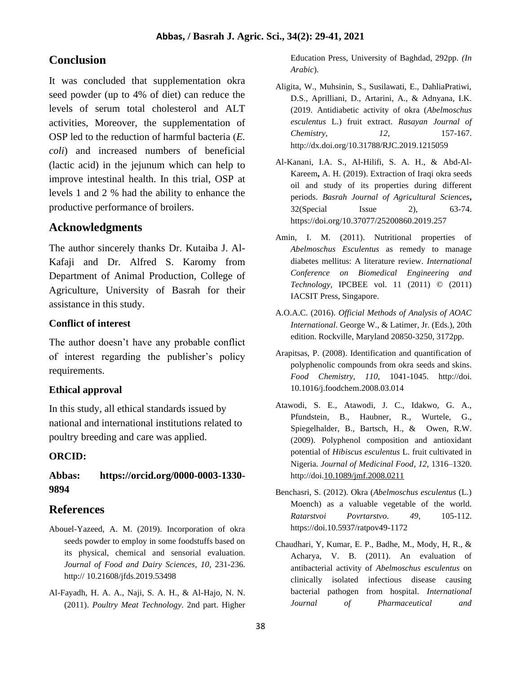# **Conclusion**

It was concluded that supplementation okra seed powder (up to 4% of diet) can reduce the levels of serum total cholesterol and ALT activities, Moreover, the supplementation of OSP led to the reduction of harmful bacteria (*E. coli*) and increased numbers of beneficial (lactic acid) in the jejunum which can help to improve intestinal health. In this trial, OSP at levels 1 and 2 % had the ability to enhance the productive performance of broilers.

## **Acknowledgments**

The author sincerely thanks Dr. Kutaiba J. Al-Kafaji and Dr. Alfred S. Karomy from Department of Animal Production, College of Agriculture, University of Basrah for their assistance in this study.

### **Conflict of interest**

The author doesn't have any probable conflict of interest regarding the publisher's policy requirements.

### **Ethical approval**

In this study, all ethical standards issued by national and international institutions related to poultry breeding and care was applied.

## **ORCID:**

## **Abbas: https://orcid.org/0000-0003-1330- 9894**

## **References**

- Abouel-Yazeed, A. M. (2019). Incorporation of okra seeds powder to employ in some foodstuffs based on its physical, chemical and sensorial evaluation. *Journal of Food and Dairy Sciences*, *10*, 231-236. http:// 10.21608/jfds.2019.53498
- Al-Fayadh, H. A. A., Naji, S. A. H., & Al-Hajo, N. N. (2011). *Poultry Meat Technology*. 2nd part. Higher

Education Press, University of Baghdad, 292pp. *(In Arabic*).

- Aligita, W., Muhsinin, S., Susilawati, E., DahliaPratiwi, D.S., Aprilliani, D., Artarini, A., & Adnyana, I.K. (2019. Antidiabetic activity of okra (*Abelmoschus esculentus* L.) fruit extract. *Rasayan Journal of Chemistry*, *12*, 157-167. http://dx.doi.org/10.31788/RJC.2019.1215059
- Al-Kanani, I.A. S., Al-Hilifi, S. A. H., & Abd-Al-Kareem**,** A. H. (2019). Extraction of Iraqi okra seeds oil and study of its properties during different periods. *Basrah Journal of Agricultural Sciences***,**  32(Special Issue 2), 63-74. https://doi.org/10.37077/25200860.2019.257
- Amin, I. M. (2011). Nutritional properties of *Abelmoschus Esculentus* as remedy to manage diabetes mellitus: A literature review. *International Conference on Biomedical Engineering and Technology,* IPCBEE vol. 11 (2011) © (2011) IACSIT Press, Singapore.
- A.O.A.C. (2016). *Official Methods of Analysis of AOAC International*. George W., & Latimer, Jr. (Eds.), 20th edition. Rockville, Maryland 20850-3250, 3172pp.
- Arapitsas, P. (2008). Identification and quantification of polyphenolic compounds from okra seeds and skins. *Food Chemistry*, *110*, 1041-1045. http://doi. 10.1016/j.foodchem.2008.03.014
- Atawodi, S. E., Atawodi, J. C., Idakwo, G. A., Pfundstein, B., Haubner, R., Wurtele, G., Spiegelhalder, B., Bartsch, H., & Owen, R.W. (2009). Polyphenol composition and antioxidant potential of *Hibiscus esculentus* L. fruit cultivated in Nigeria. *Journal of Medicinal Food*, *12*, 1316–1320. http://doi.10.1089/jmf.2008.0211
- Benchasri, S. (2012). Okra (*Abelmoschus esculentus* (L.) Moench) as a valuable vegetable of the world. *Ratarstvoi Povrtarstvo*. *49*, 105-112. https://doi.10.5937/ratpov49-1172
- Chaudhari, Y, Kumar, E. P., Badhe, M., Mody, H, R., & Acharya, V. B. (2011). An evaluation of antibacterial activity of *Abelmoschus esculentus* on clinically isolated infectious disease causing bacterial pathogen from hospital. *International Journal of Pharmaceutical and*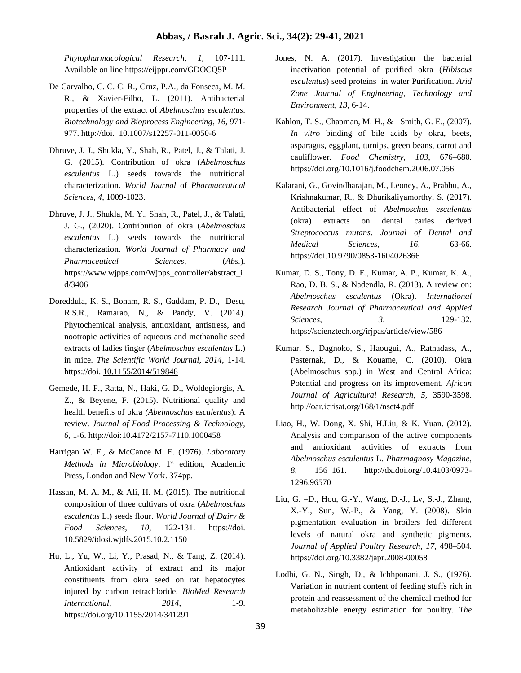#### **Abbas, / Basrah J. Agric. Sci., 34(2): 29-41, 2021**

*Phytopharmacological Research*, *1*, 107-111. Available on line https://eijppr.com/GDOCQ5P

- De Carvalho, C. C. C. R., Cruz, P.A., da Fonseca, M. M. R., & Xavier-Filho, L. (2011). Antibacterial properties of the extract of *Abelmoschus esculentus*. *Biotechnology and Bioprocess Engineering*, *16*, 971- 977. http://doi. 10.1007/s12257-011-0050-6
- Dhruve, J. J., Shukla, Y., Shah, R., Patel, J., & Talati, J. G. (2015). Contribution of okra (*Abelmoschus esculentus* L.) seeds towards the nutritional characterization. *World Journal* of *Pharmaceutical Sciences*, *4*, 1009-1023.
- Dhruve, J. J., Shukla, M. Y., Shah, R., Patel, J., & Talati, J. G., (2020). Contribution of okra (*Abelmoschus esculentus* L.) seeds towards the nutritional characterization. *World Journal of Pharmacy and Pharmaceutical Sciences*, (*Abs.*). https://www.wjpps.com/Wjpps\_controller/abstract\_i d/3406
- Doreddula, K. S., Bonam, R. S., Gaddam, P. D., Desu, R.S.R., Ramarao, N., & Pandy, V. (2014). Phytochemical analysis, antioxidant, antistress, and nootropic activities of aqueous and methanolic seed extracts of ladies finger (*Abelmoschus esculentus* L.) in mice. *The Scientific World Journal, 2014*, 1-14. https://doi. 10.1155/2014/519848
- Gemede, H. F., Ratta, N., Haki, G. D., Woldegiorgis, A. Z., & Beyene, F. **(**2015**)**. Nutritional quality and health benefits of okra *(Abelmoschus esculentus*): A review. *Journal of Food Processing & Technology*, *6*, 1-6. http://doi:10.4172/2157-7110.1000458
- Harrigan W. F., & McCance M. E. (1976). *Laboratory*  Methods in Microbiology. 1<sup>st</sup> edition, Academic Press, London and New York. 374pp.
- Hassan, M. A. M., & Ali, H. M. (2015). The nutritional composition of three cultivars of okra (*Abelmoschus esculentus* L.) seeds flour. *World Journal of Dairy & Food Sciences*, *10*, 122-131. https://doi. 10.5829/idosi.wjdfs.2015.10.2.1150
- Hu, L., Yu, W., Li, Y., Prasad, N., & Tang, Z. (2014). Antioxidant activity of extract and its major constituents from okra seed on rat hepatocytes injured by carbon tetrachloride. *BioMed Research International*, *2014*, 1-9. https://doi.org/10.1155/2014/341291
- Jones, N. A. (2017). Investigation the bacterial inactivation potential of purified okra (*Hibiscus esculentus*) seed proteins in water Purification. *Arid Zone Journal of Engineering, Technology and Environment*, *13*, 6-14.
- Kahlon, T. S., Chapman, M. H., & Smith, G. E., (2007). *In vitro* binding of bile acids by okra, beets, asparagus, eggplant, turnips, green beans, carrot and cauliflower. *Food Chemistry, 103*, 676–680. https://doi.org/10.1016/j.foodchem.2006.07.056
- Kalarani, G., Govindharajan, M., Leoney, A., Prabhu, A., Krishnakumar, R., & Dhurikaliyamorthy, S. (2017). Antibacterial effect of *Abelmoschus esculentus* (okra) extracts on dental caries derived *Streptococcus mutans*. *Journal of Dental and Medical Sciences*, *16*, 63-66. https://doi.10.9790/0853-1604026366
- Kumar, D. S., Tony, D. E., Kumar, A. P., Kumar, K. A., Rao, D. B. S., & Nadendla, R. (2013). A review on: *Abelmoschus esculentus* (Okra). *International Research Journal of Pharmaceutical and Applied Sciences, 3*, 129-132. https://scienztech.org/irjpas/article/view/586
- Kumar, S., Dagnoko, S., Haougui, A., Ratnadass, A., Pasternak, D., & Kouame, C. (2010). Okra (Abelmoschus spp.) in West and Central Africa: Potential and progress on its improvement. *African Journal of Agricultural Research, 5,* 3590-3598. http://oar.icrisat.org/168/1/nset4.pdf
- Liao, H., W. Dong, X. Shi, H.Liu, & K. Yuan. (2012). Analysis and comparison of the active components and antioxidant activities of extracts from *Abelmoschus esculentus* L. *Pharmagnosy Magazine*, *8*, 156–161. http://dx.doi.org/10.4103/0973- 1296.96570
- Liu, G. –D., Hou, G.-Y., Wang, D.-J., Lv, S.-J., Zhang, X.-Y., Sun, W.-P., & Yang, Y. (2008). Skin pigmentation evaluation in broilers fed different levels of natural okra and synthetic pigments. *Journal of Applied Poultry Research*, *17*, 498–504. https://doi.org/10.3382/japr.2008-00058
- Lodhi, G. N., Singh, D., & Ichhponani, J. S., (1976). Variation in nutrient content of feeding stuffs rich in protein and reassessment of the chemical method for metabolizable energy estimation for poultry. *The*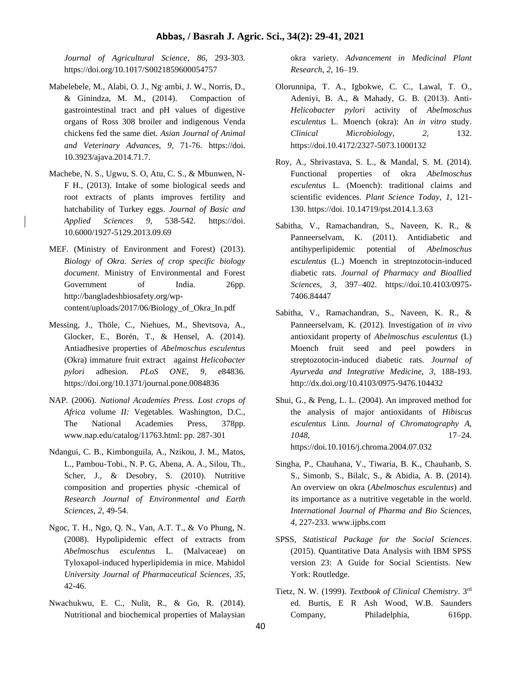*Journal of Agricultural Science*, *86*, 293-303. https://doi.org/10.1017/S0021859600054757

- Mabelebele, M., Alabi, O. J., Ng, ambi, J. W., Norris, D., & Ginindza, M. M., (2014). Compaction of gastrointestinal tract and pH values of digestive organs of Ross 308 broiler and indigenous Venda chickens fed the same diet. *Asian Journal of Animal and Veterinary Advances*, *9*, 71-76. https://doi. 10.3923/ajava.2014.71.7.
- Machebe, N. S., Ugwu, S. O, Atu, C. S., & Mbunwen, N-F H., (2013). Intake of some biological seeds and root extracts of plants improves fertility and hatchability of Turkey eggs. *Journal of Basic and Applied Sciences 9*, 538-542. https://doi. 10.6000/1927-5129.2013.09.69
- MEF. (Ministry of Environment and Forest) (2013). *Biology of Okra. Series of crop specific biology document*. Ministry of Environmental and Forest Government of India. 26pp. http://bangladeshbiosafety.org/wpcontent/uploads/2017/06/Biology\_of\_Okra\_In.pdf
- Messing, J., Thöle, C., Niehues, M., Shevtsova, A., Glocker, E., Borén, T., & Hensel, A. (2014). Antiadhesive properties of *Abelmoschus esculentus* (Okra) immature fruit extract against *Helicobacter pylori* adhesion. *PLoS ONE, 9*, e84836. https://doi.org/10.1371/journal.pone.0084836
- NAP. (2006). *National Academies Press. Lost crops of Africa* volume *II:* Vegetables*.* Washington*,* D.C., The National Academies Press, 378pp. www.nap.edu/catalog/11763.html: pp. 287-301
- Ndangui, C. B., Kimbonguila, A., Nzikou, J. M., Matos, L., Pambou-Tobi., N. P. G, Abena, A. A., Silou, Th., Scher, J., & Desobry, S. (2010). Nutritive composition and properties physic -chemical of *Research Journal of Environmental and Earth Sciences*, *2*, 49-54.
- Ngoc, T. H., Ngo, Q. N., Van, A.T. T., & Vo Phung, N. (2008). Hypolipidemic effect of extracts from *Abelmoschus esculentus* L. (Malvaceae) on Tyloxapol-induced hyperlipidemia in mice. Mahidol *University Journal of Pharmaceutical Sciences*, *35*, 42-46.
- Nwachukwu, E. C., Nulit, R., & Go, R. (2014). Nutritional and biochemical properties of Malaysian

okra variety. *Advancement in Medicinal Plant Research*, *2*, 16–19.

- Olorunnipa, T. A., Igbokwe, C. C., Lawal, T. O., Adeniyi, B. A., & Mahady, G. B. (2013). Anti-*Helicobacter pylori* activity of *Abelmoschus esculentus* L. Moench (okra): An *in vitro* study. *Clinical Microbiology*, *2*, 132. https://doi.10.4172/2327-5073.1000132
- Roy, A., Shrivastava, S. L., & Mandal, S. M. (2014). Functional properties of okra *Abelmoschus esculentus* L. (Moench): traditional claims and scientific evidences. *Plant Science Today*, *1*, 121- 130. https://doi. 10.14719/pst.2014.1.3.63
- Sabitha, V., Ramachandran, S., Naveen, K. R., & Panneerselvam, K. (2011). Antidiabetic and antihyperlipidemic potential of *Abelmoschus esculentus* (L.) Moench in streptozotocin-induced diabetic rats. *Journal of Pharmacy and Bioallied Sciences*, *3*, 397–402. https://doi.10.4103/0975- 7406.84447
- Sabitha, V., Ramachandran, S., Naveen, K. R., & Panneerselvam, K. (2012). Investigation of *in vivo* antioxidant property of *Abelmoschus esculentus* (L) Moench fruit seed and peel powders in streptozotocin-induced diabetic rats. *Journal of Ayurveda and Integrative Medicine*, *3*, 188-193. http://dx.doi.org/10.4103/0975-9476.104432
- Shui, G., & Peng, L. L. (2004). An improved method for the analysis of major antioxidants of *Hibiscus esculentus* Linn. *Journal of Chromatography A, 1048*, 17–24. https://doi.10.1016/j.chroma.2004.07.032
- Singha, P., Chauhana, V., Tiwaria, B. K., Chauhanb, S. S., Simonb, S., Bilalc, S., & Abidia, A. B. (2014). An overview on okra (*Abelmoschus esculentus*) and its importance as a nutritive vegetable in the world. *International Journal of Pharma and Bio Sciences, 4*, 227-233. www.ijpbs.com
- SPSS, *Statistical Package for the Social Sciences*. (2015). Quantitative Data Analysis with IBM SPSS version 23: A Guide for Social Scientists. New York: Routledge.
- Tietz, N. W. (1999). *Textbook of Clinical Chemistry*. 3rd ed. Burtis, E R Ash Wood, W.B. Saunders Company, Philadelphia, 616pp.